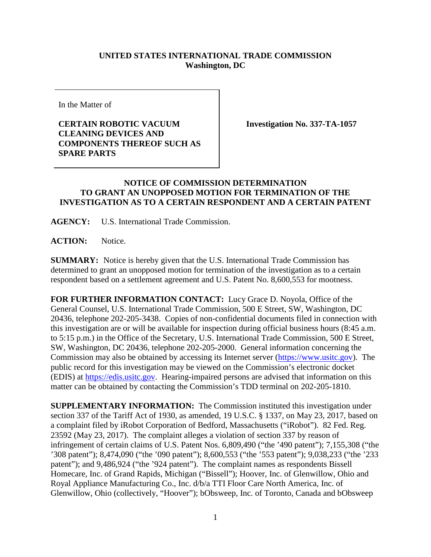## **UNITED STATES INTERNATIONAL TRADE COMMISSION Washington, DC**

In the Matter of

## **CERTAIN ROBOTIC VACUUM CLEANING DEVICES AND COMPONENTS THEREOF SUCH AS SPARE PARTS**

**Investigation No. 337-TA-1057**

## **NOTICE OF COMMISSION DETERMINATION TO GRANT AN UNOPPOSED MOTION FOR TERMINATION OF THE INVESTIGATION AS TO A CERTAIN RESPONDENT AND A CERTAIN PATENT**

**AGENCY:** U.S. International Trade Commission.

**ACTION:** Notice.

**SUMMARY:** Notice is hereby given that the U.S. International Trade Commission has determined to grant an unopposed motion for termination of the investigation as to a certain respondent based on a settlement agreement and U.S. Patent No. 8,600,553 for mootness.

**FOR FURTHER INFORMATION CONTACT:** Lucy Grace D. Noyola, Office of the General Counsel, U.S. International Trade Commission, 500 E Street, SW, Washington, DC 20436, telephone 202-205-3438. Copies of non-confidential documents filed in connection with this investigation are or will be available for inspection during official business hours (8:45 a.m. to 5:15 p.m.) in the Office of the Secretary, U.S. International Trade Commission, 500 E Street, SW, Washington, DC 20436, telephone 202-205-2000. General information concerning the Commission may also be obtained by accessing its Internet server [\(https://www.usitc.gov\)](https://www.usitc.gov/). The public record for this investigation may be viewed on the Commission's electronic docket (EDIS) at [https://edis.usitc.gov.](https://edis.usitc.gov/) Hearing-impaired persons are advised that information on this matter can be obtained by contacting the Commission's TDD terminal on 202-205-1810.

**SUPPLEMENTARY INFORMATION:** The Commission instituted this investigation under section 337 of the Tariff Act of 1930, as amended, 19 U.S.C. § 1337, on May 23, 2017, based on a complaint filed by iRobot Corporation of Bedford, Massachusetts ("iRobot"). 82 Fed. Reg. 23592 (May 23, 2017). The complaint alleges a violation of section 337 by reason of infringement of certain claims of U.S. Patent Nos. 6,809,490 ("the '490 patent"); 7,155,308 ("the '308 patent"); 8,474,090 ("the '090 patent"); 8,600,553 ("the '553 patent"); 9,038,233 ("the '233 patent"); and 9,486,924 ("the '924 patent"). The complaint names as respondents Bissell Homecare, Inc. of Grand Rapids, Michigan ("Bissell"); Hoover, Inc. of Glenwillow, Ohio and Royal Appliance Manufacturing Co., Inc. d/b/a TTI Floor Care North America, Inc. of Glenwillow, Ohio (collectively, "Hoover"); bObsweep, Inc. of Toronto, Canada and bObsweep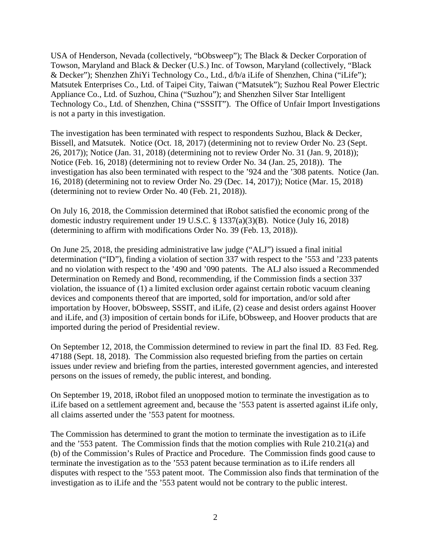USA of Henderson, Nevada (collectively, "bObsweep"); The Black & Decker Corporation of Towson, Maryland and Black & Decker (U.S.) Inc. of Towson, Maryland (collectively, "Black & Decker"); Shenzhen ZhiYi Technology Co., Ltd., d/b/a iLife of Shenzhen, China ("iLife"); Matsutek Enterprises Co., Ltd. of Taipei City, Taiwan ("Matsutek"); Suzhou Real Power Electric Appliance Co., Ltd. of Suzhou, China ("Suzhou"); and Shenzhen Silver Star Intelligent Technology Co., Ltd. of Shenzhen, China ("SSSIT"). The Office of Unfair Import Investigations is not a party in this investigation.

The investigation has been terminated with respect to respondents Suzhou, Black & Decker, Bissell, and Matsutek. Notice (Oct. 18, 2017) (determining not to review Order No. 23 (Sept. 26, 2017)); Notice (Jan. 31, 2018) (determining not to review Order No. 31 (Jan. 9, 2018)); Notice (Feb. 16, 2018) (determining not to review Order No. 34 (Jan. 25, 2018)). The investigation has also been terminated with respect to the '924 and the '308 patents. Notice (Jan. 16, 2018) (determining not to review Order No. 29 (Dec. 14, 2017)); Notice (Mar. 15, 2018) (determining not to review Order No. 40 (Feb. 21, 2018)).

On July 16, 2018, the Commission determined that iRobot satisfied the economic prong of the domestic industry requirement under 19 U.S.C. § 1337(a)(3)(B). Notice (July 16, 2018) (determining to affirm with modifications Order No. 39 (Feb. 13, 2018)).

On June 25, 2018, the presiding administrative law judge ("ALJ") issued a final initial determination ("ID"), finding a violation of section 337 with respect to the '553 and '233 patents and no violation with respect to the '490 and '090 patents. The ALJ also issued a Recommended Determination on Remedy and Bond, recommending, if the Commission finds a section 337 violation, the issuance of (1) a limited exclusion order against certain robotic vacuum cleaning devices and components thereof that are imported, sold for importation, and/or sold after importation by Hoover, bObsweep, SSSIT, and iLife, (2) cease and desist orders against Hoover and iLife, and (3) imposition of certain bonds for iLife, bObsweep, and Hoover products that are imported during the period of Presidential review.

On September 12, 2018, the Commission determined to review in part the final ID. 83 Fed. Reg. 47188 (Sept. 18, 2018). The Commission also requested briefing from the parties on certain issues under review and briefing from the parties, interested government agencies, and interested persons on the issues of remedy, the public interest, and bonding.

On September 19, 2018, iRobot filed an unopposed motion to terminate the investigation as to iLife based on a settlement agreement and, because the '553 patent is asserted against iLife only, all claims asserted under the '553 patent for mootness.

The Commission has determined to grant the motion to terminate the investigation as to iLife and the '553 patent. The Commission finds that the motion complies with Rule 210.21(a) and (b) of the Commission's Rules of Practice and Procedure. The Commission finds good cause to terminate the investigation as to the '553 patent because termination as to iLife renders all disputes with respect to the '553 patent moot. The Commission also finds that termination of the investigation as to iLife and the '553 patent would not be contrary to the public interest.